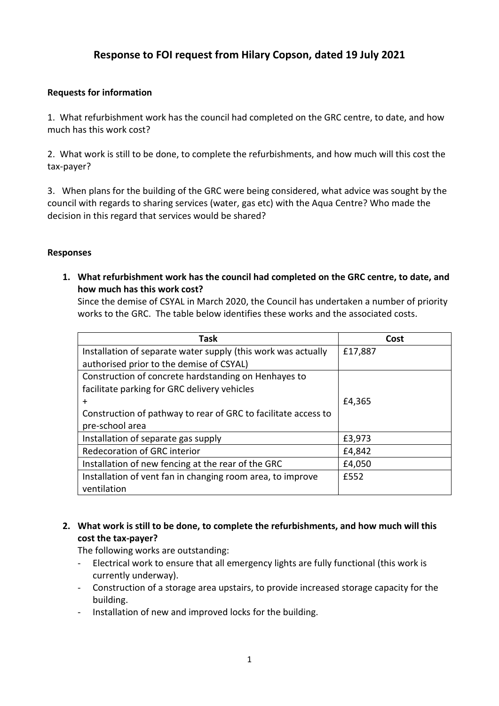## **Response to FOI request from Hilary Copson, dated 19 July 2021**

## **Requests for information**

1. What refurbishment work has the council had completed on the GRC centre, to date, and how much has this work cost?

2. What work is still to be done, to complete the refurbishments, and how much will this cost the tax-payer?

3. When plans for the building of the GRC were being considered, what advice was sought by the council with regards to sharing services (water, gas etc) with the Aqua Centre? Who made the decision in this regard that services would be shared?

## **Responses**

**1. What refurbishment work has the council had completed on the GRC centre, to date, and how much has this work cost?**

Since the demise of CSYAL in March 2020, the Council has undertaken a number of priority works to the GRC. The table below identifies these works and the associated costs.

| <b>Task</b>                                                    | Cost    |
|----------------------------------------------------------------|---------|
| Installation of separate water supply (this work was actually  | £17,887 |
| authorised prior to the demise of CSYAL)                       |         |
| Construction of concrete hardstanding on Henhayes to           |         |
| facilitate parking for GRC delivery vehicles                   |         |
| $\div$                                                         | £4,365  |
| Construction of pathway to rear of GRC to facilitate access to |         |
| pre-school area                                                |         |
| Installation of separate gas supply                            | £3,973  |
| <b>Redecoration of GRC interior</b>                            | £4,842  |
| Installation of new fencing at the rear of the GRC             | £4,050  |
| Installation of vent fan in changing room area, to improve     | £552    |
| ventilation                                                    |         |

## **2. What work is still to be done, to complete the refurbishments, and how much will this cost the tax-payer?**

The following works are outstanding:

- Electrical work to ensure that all emergency lights are fully functional (this work is currently underway).
- Construction of a storage area upstairs, to provide increased storage capacity for the building.
- Installation of new and improved locks for the building.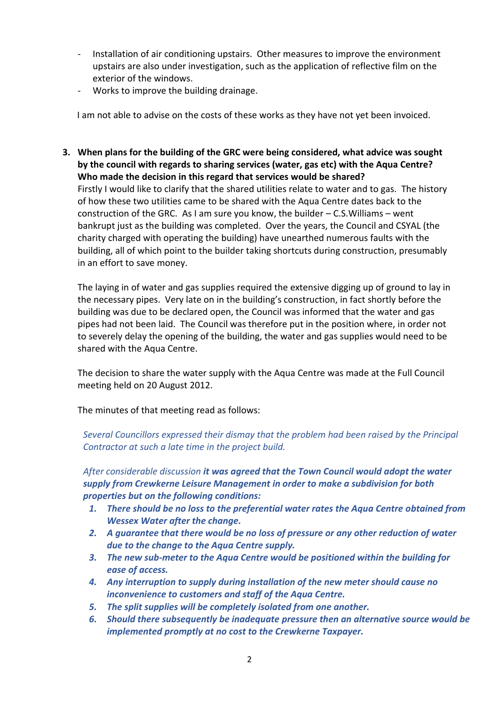- Installation of air conditioning upstairs. Other measures to improve the environment upstairs are also under investigation, such as the application of reflective film on the exterior of the windows.
- Works to improve the building drainage.

I am not able to advise on the costs of these works as they have not yet been invoiced.

**3. When plans for the building of the GRC were being considered, what advice was sought by the council with regards to sharing services (water, gas etc) with the Aqua Centre? Who made the decision in this regard that services would be shared?** Firstly I would like to clarify that the shared utilities relate to water and to gas. The history of how these two utilities came to be shared with the Aqua Centre dates back to the construction of the GRC. As I am sure you know, the builder – C.S.Williams – went bankrupt just as the building was completed. Over the years, the Council and CSYAL (the charity charged with operating the building) have unearthed numerous faults with the building, all of which point to the builder taking shortcuts during construction, presumably in an effort to save money.

The laying in of water and gas supplies required the extensive digging up of ground to lay in the necessary pipes. Very late on in the building's construction, in fact shortly before the building was due to be declared open, the Council was informed that the water and gas pipes had not been laid. The Council was therefore put in the position where, in order not to severely delay the opening of the building, the water and gas supplies would need to be shared with the Aqua Centre.

The decision to share the water supply with the Aqua Centre was made at the Full Council meeting held on 20 August 2012.

The minutes of that meeting read as follows:

*Several Councillors expressed their dismay that the problem had been raised by the Principal Contractor at such a late time in the project build.*

*After considerable discussion it was agreed that the Town Council would adopt the water supply from Crewkerne Leisure Management in order to make a subdivision for both properties but on the following conditions:*

- *1. There should be no loss to the preferential water rates the Aqua Centre obtained from Wessex Water after the change.*
- *2. A guarantee that there would be no loss of pressure or any other reduction of water due to the change to the Aqua Centre supply.*
- *3. The new sub-meter to the Aqua Centre would be positioned within the building for ease of access.*
- *4. Any interruption to supply during installation of the new meter should cause no inconvenience to customers and staff of the Aqua Centre.*
- *5. The split supplies will be completely isolated from one another.*
- *6. Should there subsequently be inadequate pressure then an alternative source would be implemented promptly at no cost to the Crewkerne Taxpayer.*